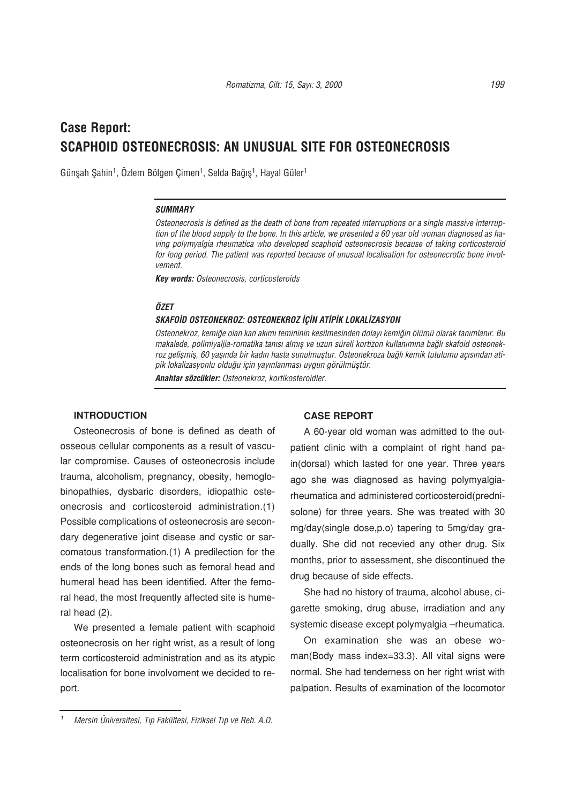# **Case Report: SCAPHOID OSTEONECROSIS: AN UNUSUAL SITE FOR OSTEONECROSIS**

Günşah Şahin<sup>1</sup>, Özlem Bölgen Çimen<sup>1</sup>, Selda Bağış<sup>1</sup>, Hayal Güler<sup>1</sup>

#### *SUMMARY*

*Osteonecrosis is defined as the death of bone from repeated interruptions or a single massive interruption of the blood supply to the bone. In this article, we presented a 60 year old woman diagnosed as having polymyalgia rheumatica who developed scaphoid osteonecrosis because of taking corticosteroid for long period. The patient was reported because of unusual localisation for osteonecrotic bone involvement.* 

*Key words: Osteonecrosis, corticosteroids*

### *ÖZET*

### *SKAFO‹D OSTEONEKROZ: OSTEONEKROZ ‹Ç‹N AT‹P‹K LOKAL‹ZASYON*

Osteonekroz, kemiğe olan kan akımı temininin kesilmesinden dolayı kemiğin ölümü olarak tanımlanır. Bu makalede, polimiyaljia-romatika tanısı almış ve uzun süreli kortizon kullanımına bağlı skafoid osteonekroz gelişmiş, 60 yaşında bir kadın hasta sunulmuştur. Osteonekroza bağlı kemik tutulumu açısından atipik lokalizasyonlu olduğu için yayınlanması uygun görülmüştür.

*Anahtar sözcükler: Osteonekroz, kortikosteroidler.* 

## **INTRODUCTION**

Osteonecrosis of bone is defined as death of osseous cellular components as a result of vascular compromise. Causes of osteonecrosis include trauma, alcoholism, pregnancy, obesity, hemoglobinopathies, dysbaric disorders, idiopathic osteonecrosis and corticosteroid administration.(1) Possible complications of osteonecrosis are secondary degenerative joint disease and cystic or sarcomatous transformation.(1) A predilection for the ends of the long bones such as femoral head and humeral head has been identified. After the femoral head, the most frequently affected site is humeral head (2).

We presented a female patient with scaphoid osteonecrosis on her right wrist, as a result of long term corticosteroid administration and as its atypic localisation for bone involvoment we decided to report.

## **CASE REPORT**

A 60-year old woman was admitted to the outpatient clinic with a complaint of right hand pain(dorsal) which lasted for one year. Three years ago she was diagnosed as having polymyalgiarheumatica and administered corticosteroid(prednisolone) for three years. She was treated with 30 mg/day(single dose,p.o) tapering to 5mg/day gradually. She did not recevied any other drug. Six months, prior to assessment, she discontinued the drug because of side effects.

She had no history of trauma, alcohol abuse, cigarette smoking, drug abuse, irradiation and any systemic disease except polymyalgia –rheumatica.

On examination she was an obese woman(Body mass index=33.3). All vital signs were normal. She had tenderness on her right wrist with palpation. Results of examination of the locomotor

*<sup>1</sup> Mersin Üniversitesi, T›p Fakültesi, Fiziksel T›p ve Reh. A.D.*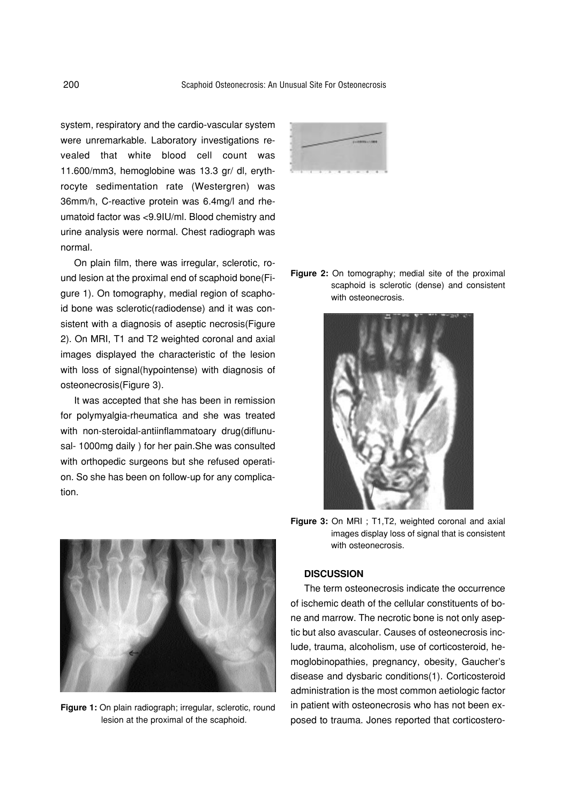system, respiratory and the cardio-vascular system were unremarkable. Laboratory investigations revealed that white blood cell count was 11.600/mm3, hemoglobine was 13.3 gr/ dl, erythrocyte sedimentation rate (Westergren) was 36mm/h, C-reactive protein was 6.4mg/l and rheumatoid factor was <9.9IU/ml. Blood chemistry and urine analysis were normal. Chest radiograph was normal.

On plain film, there was irregular, sclerotic, round lesion at the proximal end of scaphoid bone(Figure 1). On tomography, medial region of scaphoid bone was sclerotic(radiodense) and it was consistent with a diagnosis of aseptic necrosis(Figure 2). On MRI, T1 and T2 weighted coronal and axial images displayed the characteristic of the lesion with loss of signal(hypointense) with diagnosis of osteonecrosis(Figure 3).

It was accepted that she has been in remission for polymyalgia-rheumatica and she was treated with non-steroidal-antiinflammatoary drug(diflunusal- 1000mg daily ) for her pain.She was consulted with orthopedic surgeons but she refused operation. So she has been on follow-up for any complication.



**Figure 1:** On plain radiograph; irregular, sclerotic, round lesion at the proximal of the scaphoid.



**Figure 2:** On tomography; medial site of the proximal scaphoid is sclerotic (dense) and consistent with osteonecrosis.



**Figure 3:** On MRI ; T1,T2, weighted coronal and axial images display loss of signal that is consistent with osteonecrosis.

# **DISCUSSION**

The term osteonecrosis indicate the occurrence of ischemic death of the cellular constituents of bone and marrow. The necrotic bone is not only aseptic but also avascular. Causes of osteonecrosis include, trauma, alcoholism, use of corticosteroid, hemoglobinopathies, pregnancy, obesity, Gaucher's disease and dysbaric conditions(1). Corticosteroid administration is the most common aetiologic factor in patient with osteonecrosis who has not been exposed to trauma. Jones reported that corticostero